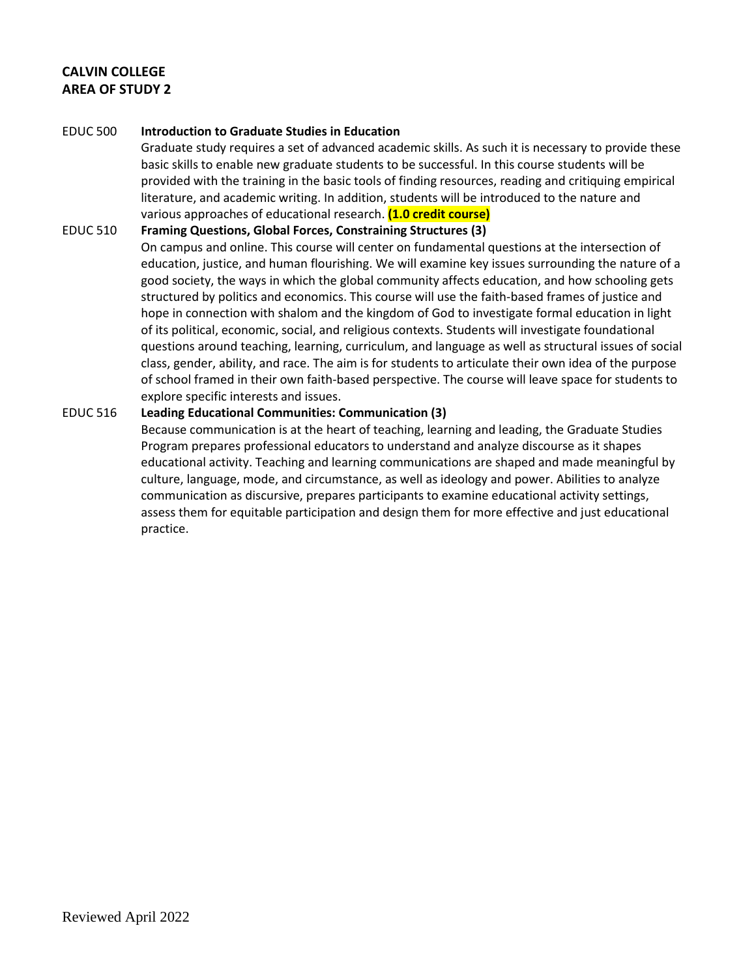# **CALVIN COLLEGE AREA OF STUDY 2**

#### EDUC 500 **Introduction to Graduate Studies in Education**

Graduate study requires a set of advanced academic skills. As such it is necessary to provide these basic skills to enable new graduate students to be successful. In this course students will be provided with the training in the basic tools of finding resources, reading and critiquing empirical literature, and academic writing. In addition, students will be introduced to the nature and various approaches of educational research. **(1.0 credit course)**

#### EDUC 510 **Framing Questions, Global Forces, Constraining Structures (3)**

On campus and online. This course will center on fundamental questions at the intersection of education, justice, and human flourishing. We will examine key issues surrounding the nature of a good society, the ways in which the global community affects education, and how schooling gets structured by politics and economics. This course will use the faith-based frames of justice and hope in connection with shalom and the kingdom of God to investigate formal education in light of its political, economic, social, and religious contexts. Students will investigate foundational questions around teaching, learning, curriculum, and language as well as structural issues of social class, gender, ability, and race. The aim is for students to articulate their own idea of the purpose of school framed in their own faith-based perspective. The course will leave space for students to explore specific interests and issues.

### EDUC 516 **Leading Educational Communities: Communication (3)**

Because communication is at the heart of teaching, learning and leading, the Graduate Studies Program prepares professional educators to understand and analyze discourse as it shapes educational activity. Teaching and learning communications are shaped and made meaningful by culture, language, mode, and circumstance, as well as ideology and power. Abilities to analyze communication as discursive, prepares participants to examine educational activity settings, assess them for equitable participation and design them for more effective and just educational practice.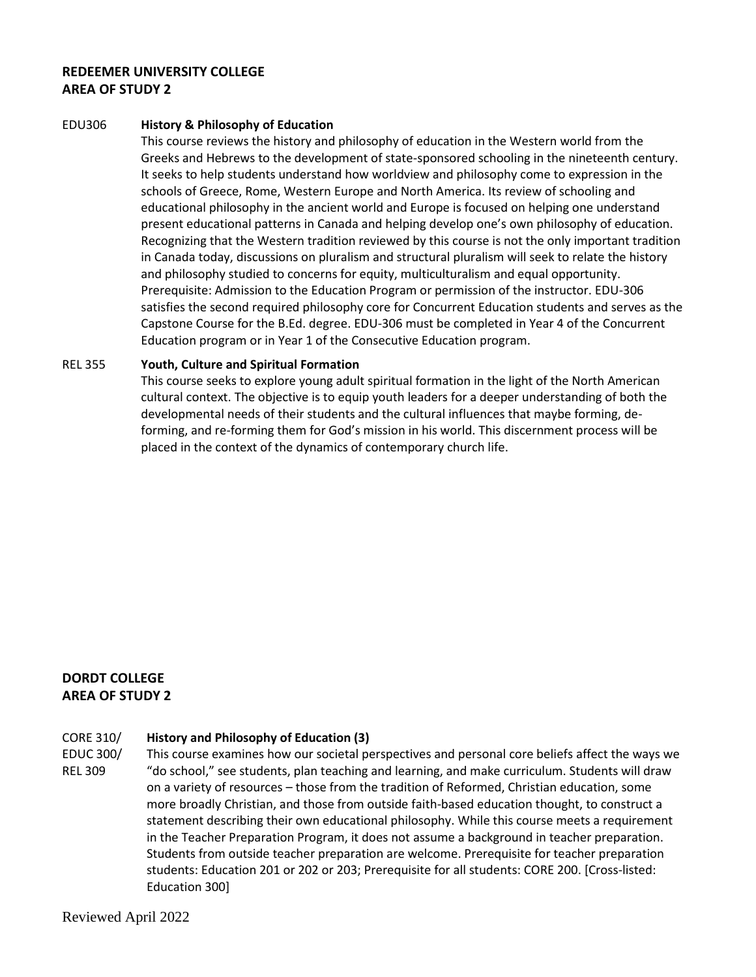## **REDEEMER UNIVERSITY COLLEGE AREA OF STUDY 2**

#### EDU306 **History & Philosophy of Education**

This course reviews the history and philosophy of education in the Western world from the Greeks and Hebrews to the development of state-sponsored schooling in the nineteenth century. It seeks to help students understand how worldview and philosophy come to expression in the schools of Greece, Rome, Western Europe and North America. Its review of schooling and educational philosophy in the ancient world and Europe is focused on helping one understand present educational patterns in Canada and helping develop one's own philosophy of education. Recognizing that the Western tradition reviewed by this course is not the only important tradition in Canada today, discussions on pluralism and structural pluralism will seek to relate the history and philosophy studied to concerns for equity, multiculturalism and equal opportunity. Prerequisite: Admission to the Education Program or permission of the instructor. EDU-306 satisfies the second required philosophy core for Concurrent Education students and serves as the Capstone Course for the B.Ed. degree. EDU-306 must be completed in Year 4 of the Concurrent Education program or in Year 1 of the Consecutive Education program.

#### REL 355 **Youth, Culture and Spiritual Formation**

This course seeks to explore young adult spiritual formation in the light of the North American cultural context. The objective is to equip youth leaders for a deeper understanding of both the developmental needs of their students and the cultural influences that maybe forming, deforming, and re-forming them for God's mission in his world. This discernment process will be placed in the context of the dynamics of contemporary church life.

## **DORDT COLLEGE AREA OF STUDY 2**

#### CORE 310/ **History and Philosophy of Education (3)**

EDUC 300/ REL 309 This course examines how our societal perspectives and personal core beliefs affect the ways we "do school," see students, plan teaching and learning, and make curriculum. Students will draw on a variety of resources – those from the tradition of Reformed, Christian education, some more broadly Christian, and those from outside faith-based education thought, to construct a statement describing their own educational philosophy. While this course meets a requirement in the Teacher Preparation Program, it does not assume a background in teacher preparation. Students from outside teacher preparation are welcome. Prerequisite for teacher preparation students: Education 201 or 202 or 203; Prerequisite for all students: CORE 200. [Cross-listed: Education 300]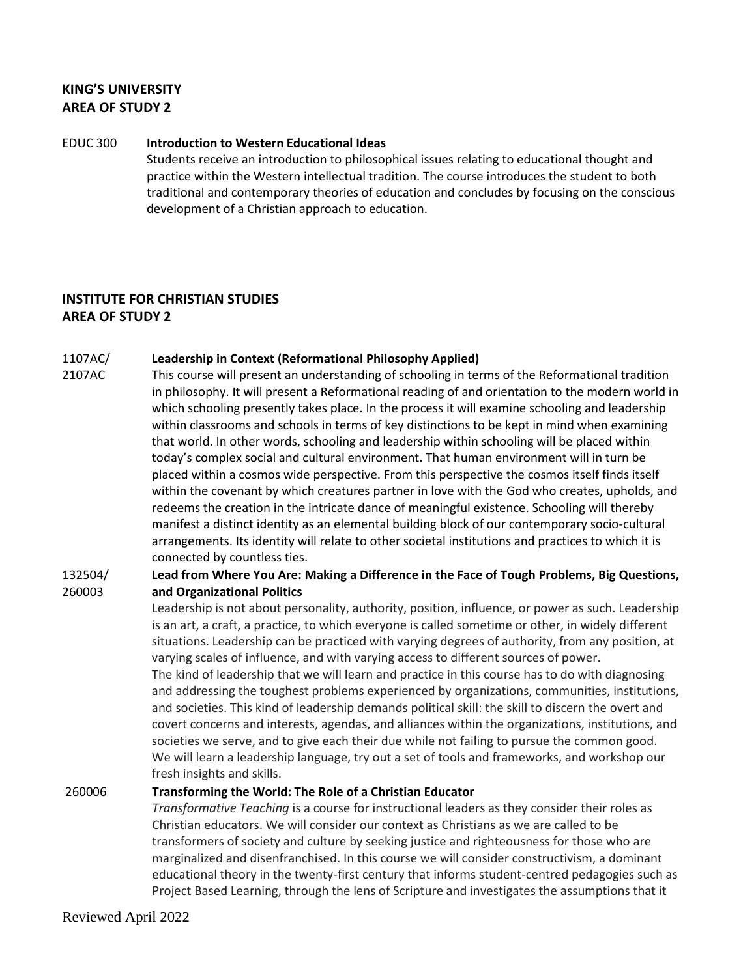## **KING'S UNIVERSITY AREA OF STUDY 2**

#### EDUC 300 **Introduction to Western Educational Ideas**

Students receive an introduction to philosophical issues relating to educational thought and practice within the Western intellectual tradition. The course introduces the student to both traditional and contemporary theories of education and concludes by focusing on the conscious development of a Christian approach to education.

# **INSTITUTE FOR CHRISTIAN STUDIES AREA OF STUDY 2**

#### 1107AC/ **[Leadership in Context \(Reformational Philosophy Applied\)](http://courses.icscanada.edu/2021/02/leadership-in-context-reformational.html)**

2107AC This course will present an understanding of schooling in terms of the Reformational tradition in philosophy. It will present a Reformational reading of and orientation to the modern world in which schooling presently takes place. In the process it will examine schooling and leadership within classrooms and schools in terms of key distinctions to be kept in mind when examining that world. In other words, schooling and leadership within schooling will be placed within today's complex social and cultural environment. That human environment will in turn be placed within a cosmos wide perspective. From this perspective the cosmos itself finds itself within the covenant by which creatures partner in love with the God who creates, upholds, and redeems the creation in the intricate dance of meaningful existence. Schooling will thereby manifest a distinct identity as an elemental building block of our contemporary socio-cultural arrangements. Its identity will relate to other societal institutions and practices to which it is connected by countless ties.

#### 132504/ 260003 **Lead from Where You Are: Making a Difference in the Face of Tough Problems, Big Questions, and Organizational Politics**

Leadership is not about personality, authority, position, influence, or power as such. Leadership is an art, a craft, a practice, to which everyone is called sometime or other, in widely different situations. Leadership can be practiced with varying degrees of authority, from any position, at varying scales of influence, and with varying access to different sources of power. The kind of leadership that we will learn and practice in this course has to do with diagnosing and addressing the toughest problems experienced by organizations, communities, institutions, and societies. This kind of leadership demands political skill: the skill to discern the overt and covert concerns and interests, agendas, and alliances within the organizations, institutions, and societies we serve, and to give each their due while not failing to pursue the common good. We will learn a leadership language, try out a set of tools and frameworks, and workshop our fresh insights and skills.

### 260006 **Transforming the World: The Role of a Christian Educator**

*Transformative Teaching* is a course for instructional leaders as they consider their roles as Christian educators. We will consider our context as Christians as we are called to be transformers of society and culture by seeking justice and righteousness for those who are marginalized and disenfranchised. In this course we will consider constructivism, a dominant educational theory in the twenty-first century that informs student-centred pedagogies such as Project Based Learning, through the lens of Scripture and investigates the assumptions that it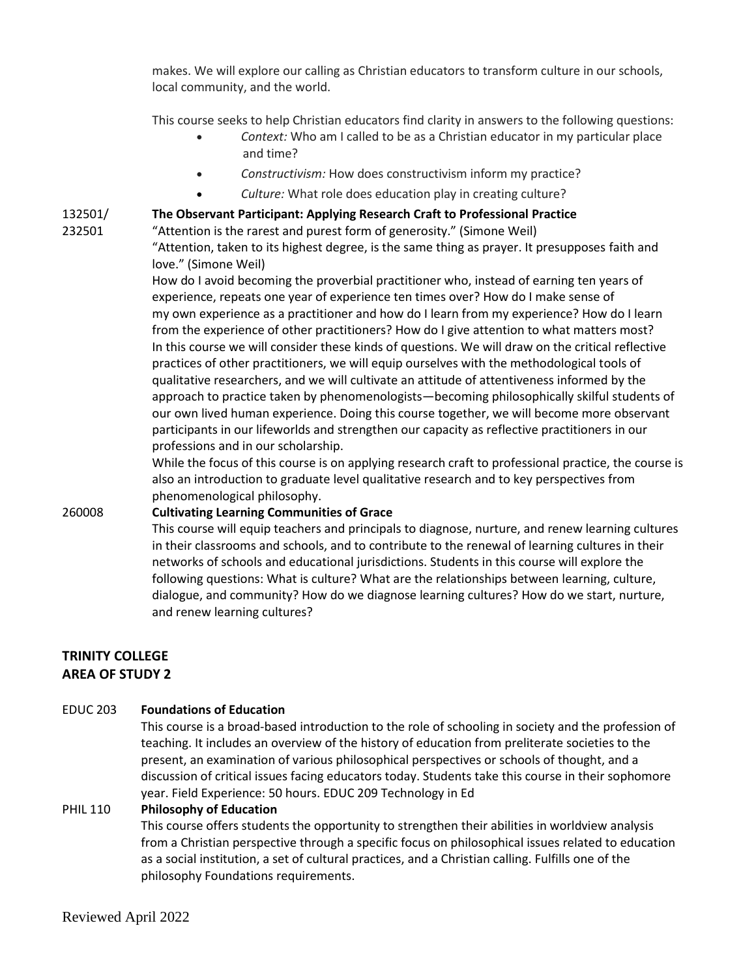makes. We will explore our calling as Christian educators to transform culture in our schools, local community, and the world.

This course seeks to help Christian educators find clarity in answers to the following questions:

- *Context:* Who am I called to be as a Christian educator in my particular place and time?
- *Constructivism:* How does constructivism inform my practice?
- *Culture:* What role does education play in creating culture?

#### 132501/ **The Observant Participant: Applying Research Craft to Professional Practice**

232501

"Attention is the rarest and purest form of generosity." (Simone Weil) "Attention, taken to its highest degree, is the same thing as prayer. It presupposes faith and love." (Simone Weil)

How do I avoid becoming the proverbial practitioner who, instead of earning ten years of experience, repeats one year of experience ten times over? How do I make sense of my own experience as a practitioner and how do I learn from my experience? How do I learn from the experience of other practitioners? How do I give attention to what matters most? In this course we will consider these kinds of questions. We will draw on the critical reflective practices of other practitioners, we will equip ourselves with the methodological tools of qualitative researchers, and we will cultivate an attitude of attentiveness informed by the approach to practice taken by phenomenologists—becoming philosophically skilful students of our own lived human experience. Doing this course together, we will become more observant participants in our lifeworlds and strengthen our capacity as reflective practitioners in our professions and in our scholarship.

While the focus of this course is on applying research craft to professional practice, the course is also an introduction to graduate level qualitative research and to key perspectives from phenomenological philosophy.

### 260008 **Cultivating Learning Communities of Grace**

This course will equip teachers and principals to diagnose, nurture, and renew learning cultures in their classrooms and schools, and to contribute to the renewal of learning cultures in their networks of schools and educational jurisdictions. Students in this course will explore the following questions: What is culture? What are the relationships between learning, culture, dialogue, and community? How do we diagnose learning cultures? How do we start, nurture, and renew learning cultures?

## **TRINITY COLLEGE AREA OF STUDY 2**

### EDUC 203 **Foundations of Education**

This course is a broad-based introduction to the role of schooling in society and the profession of teaching. It includes an overview of the history of education from preliterate societies to the present, an examination of various philosophical perspectives or schools of thought, and a discussion of critical issues facing educators today. Students take this course in their sophomore year. Field Experience: 50 hours. EDUC 209 Technology in Ed

### PHIL 110 **Philosophy of Education**

This course offers students the opportunity to strengthen their abilities in worldview analysis from a Christian perspective through a specific focus on philosophical issues related to education as a social institution, a set of cultural practices, and a Christian calling. Fulfills one of the philosophy Foundations requirements.